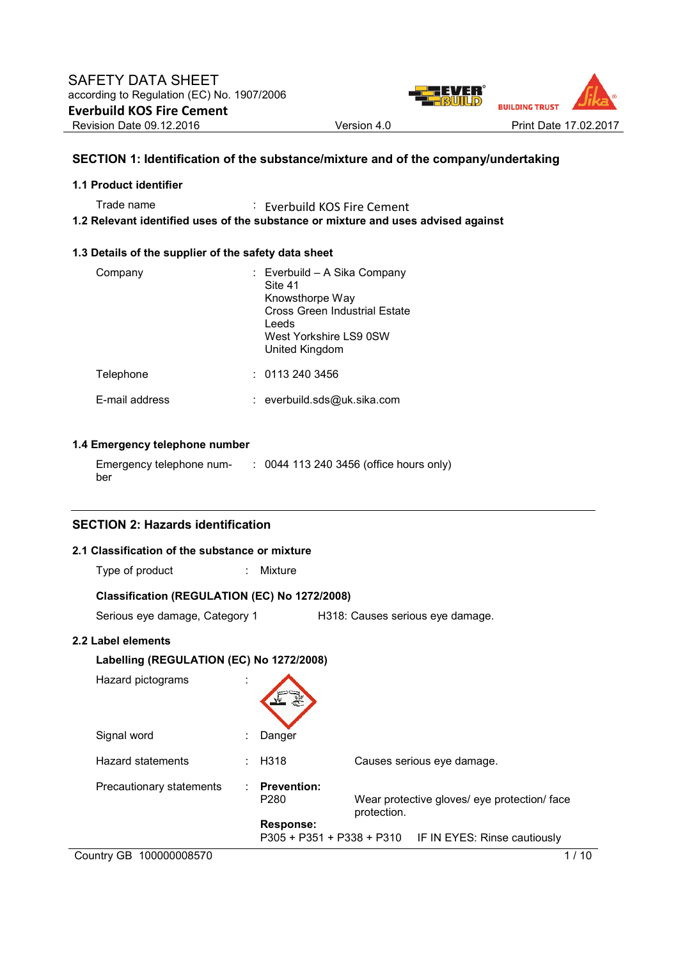

# **SECTION 1: Identification of the substance/mixture and of the company/undertaking**

## **1.1 Product identifier**

Trade name : Everbuild KOS Fire Cement **1.2 Relevant identified uses of the substance or mixture and uses advised against** 

# **1.3 Details of the supplier of the safety data sheet**

| Company        | : Everbuild - A Sika Company<br>Site 41<br>Knowsthorpe Way<br>Cross Green Industrial Estate<br>Leeds<br>West Yorkshire LS9 0SW<br>United Kingdom |
|----------------|--------------------------------------------------------------------------------------------------------------------------------------------------|
| Telephone      | : 01132403456                                                                                                                                    |
| E-mail address | : everbuild.sds@uk.sika.com                                                                                                                      |

# **1.4 Emergency telephone number**

| Emergency telephone num- | : 0044 113 240 3456 (office hours only) |
|--------------------------|-----------------------------------------|
| ber                      |                                         |

# **SECTION 2: Hazards identification**

## **2.1 Classification of the substance or mixture**

| Type of product |  | Mixture |
|-----------------|--|---------|
|-----------------|--|---------|

## **Classification (REGULATION (EC) No 1272/2008)**

Serious eye damage, Category 1 H318: Causes serious eye damage.

## **2.2 Label elements**

| Labelling (REGULATION (EC) No 1272/2008) |                                        |                                                             |
|------------------------------------------|----------------------------------------|-------------------------------------------------------------|
| Hazard pictograms                        |                                        |                                                             |
| Signal word                              | Danger                                 |                                                             |
| Hazard statements                        | H318                                   | Causes serious eye damage.                                  |
| Precautionary statements                 | <b>Prevention:</b><br>P <sub>280</sub> | Wear protective gloves/ eye protection/ face<br>protection. |
|                                          | <b>Response:</b>                       | P305 + P351 + P338 + P310 IF IN EYES: Rinse cautiously      |
| Country GB 100000008570                  |                                        | 10                                                          |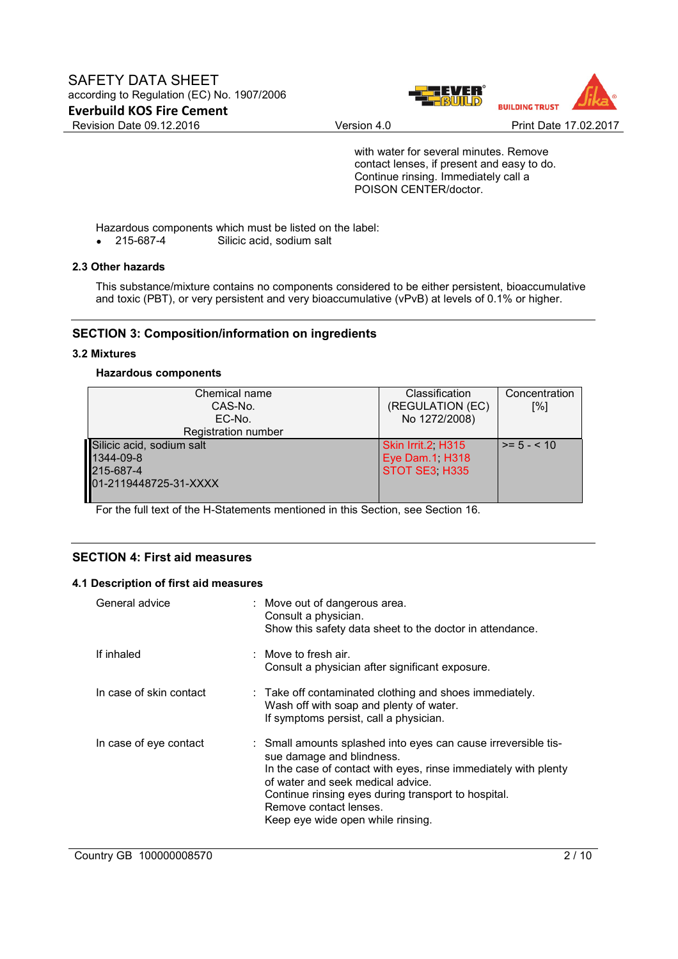

with water for several minutes. Remove contact lenses, if present and easy to do. Continue rinsing. Immediately call a POISON CENTER/doctor.

Hazardous components which must be listed on the label:<br>• 215-687-4 Silicic acid, sodium salt

Silicic acid, sodium salt

# **2.3 Other hazards**

This substance/mixture contains no components considered to be either persistent, bioaccumulative and toxic (PBT), or very persistent and very bioaccumulative (vPvB) at levels of 0.1% or higher.

# **SECTION 3: Composition/information on ingredients**

## **3.2 Mixtures**

### **Hazardous components**

| Chemical name<br>CAS-No.<br>EC-No.<br><b>Registration number</b>             | Classification<br>(REGULATION (EC)<br>No 1272/2008)   | Concentration<br>$\lceil \% \rceil$ |
|------------------------------------------------------------------------------|-------------------------------------------------------|-------------------------------------|
| Silicic acid, sodium salt<br>1344-09-8<br>215-687-4<br>01-2119448725-31-XXXX | Skin Irrit.2 H315<br>Eye Dam.1, H318<br>STOT SE3 H335 | $>= 5 - < 10$                       |

For the full text of the H-Statements mentioned in this Section, see Section 16.

## **SECTION 4: First aid measures**

## **4.1 Description of first aid measures**

| General advice          | : Move out of dangerous area.<br>Consult a physician.<br>Show this safety data sheet to the doctor in attendance.                                                                                                                                                                                                         |
|-------------------------|---------------------------------------------------------------------------------------------------------------------------------------------------------------------------------------------------------------------------------------------------------------------------------------------------------------------------|
| If inhaled              | $\therefore$ Move to fresh air.<br>Consult a physician after significant exposure.                                                                                                                                                                                                                                        |
| In case of skin contact | : Take off contaminated clothing and shoes immediately.<br>Wash off with soap and plenty of water.<br>If symptoms persist, call a physician.                                                                                                                                                                              |
| In case of eye contact  | : Small amounts splashed into eyes can cause irreversible tis-<br>sue damage and blindness.<br>In the case of contact with eyes, rinse immediately with plenty<br>of water and seek medical advice.<br>Continue rinsing eyes during transport to hospital.<br>Remove contact lenses.<br>Keep eye wide open while rinsing. |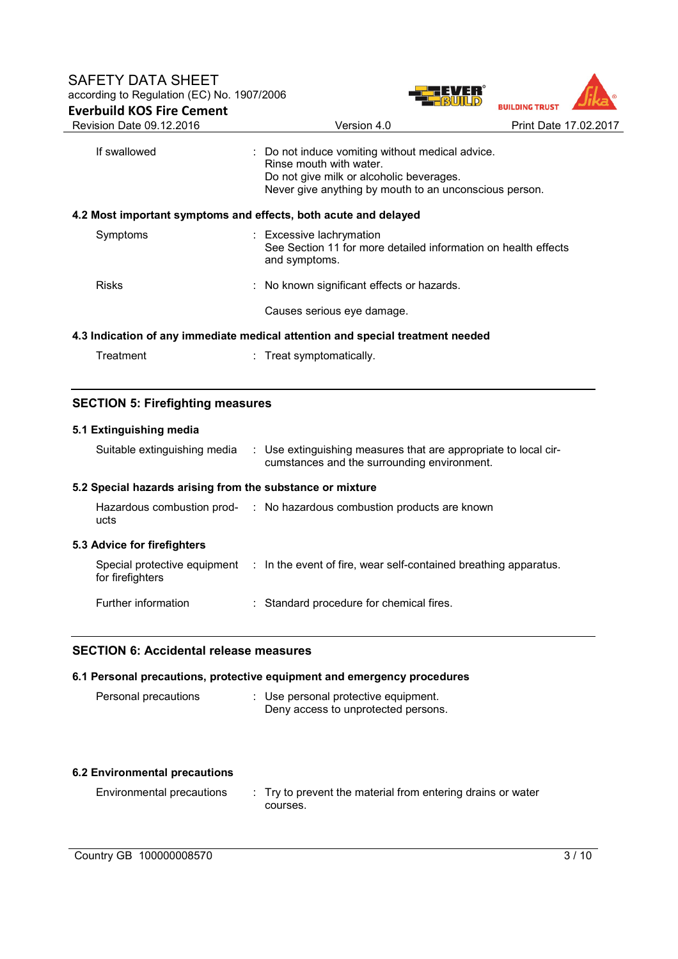

| If swallowed                                                                   | : Do not induce vomiting without medical advice.<br>Rinse mouth with water.<br>Do not give milk or alcoholic beverages.<br>Never give anything by mouth to an unconscious person. |  |
|--------------------------------------------------------------------------------|-----------------------------------------------------------------------------------------------------------------------------------------------------------------------------------|--|
|                                                                                | 4.2 Most important symptoms and effects, both acute and delayed                                                                                                                   |  |
| Symptoms                                                                       | : Excessive lachrymation<br>See Section 11 for more detailed information on health effects<br>and symptoms.                                                                       |  |
| <b>Risks</b>                                                                   | : No known significant effects or hazards.                                                                                                                                        |  |
|                                                                                | Causes serious eye damage.                                                                                                                                                        |  |
| 4.3 Indication of any immediate medical attention and special treatment needed |                                                                                                                                                                                   |  |

# **SECTION 5: Firefighting measures**

# **5.1 Extinguishing media**

| Suitable extinguishing media                              | : Use extinguishing measures that are appropriate to local cir-<br>cumstances and the surrounding environment. |
|-----------------------------------------------------------|----------------------------------------------------------------------------------------------------------------|
| 5.2 Special hazards arising from the substance or mixture |                                                                                                                |
| ucts                                                      | Hazardous combustion prod- : No hazardous combustion products are known                                        |
| 5.3 Advice for firefighters                               |                                                                                                                |
| for firefighters                                          | Special protective equipment : In the event of fire, wear self-contained breathing apparatus.                  |
| Further information                                       | : Standard procedure for chemical fires.                                                                       |

## **SECTION 6: Accidental release measures**

## **6.1 Personal precautions, protective equipment and emergency procedures**

| Personal precautions | : Use personal protective equipment. |
|----------------------|--------------------------------------|
|                      | Deny access to unprotected persons.  |

## **6.2 Environmental precautions**

| Environmental precautions | : Try to prevent the material from entering drains or water |
|---------------------------|-------------------------------------------------------------|
|                           | courses.                                                    |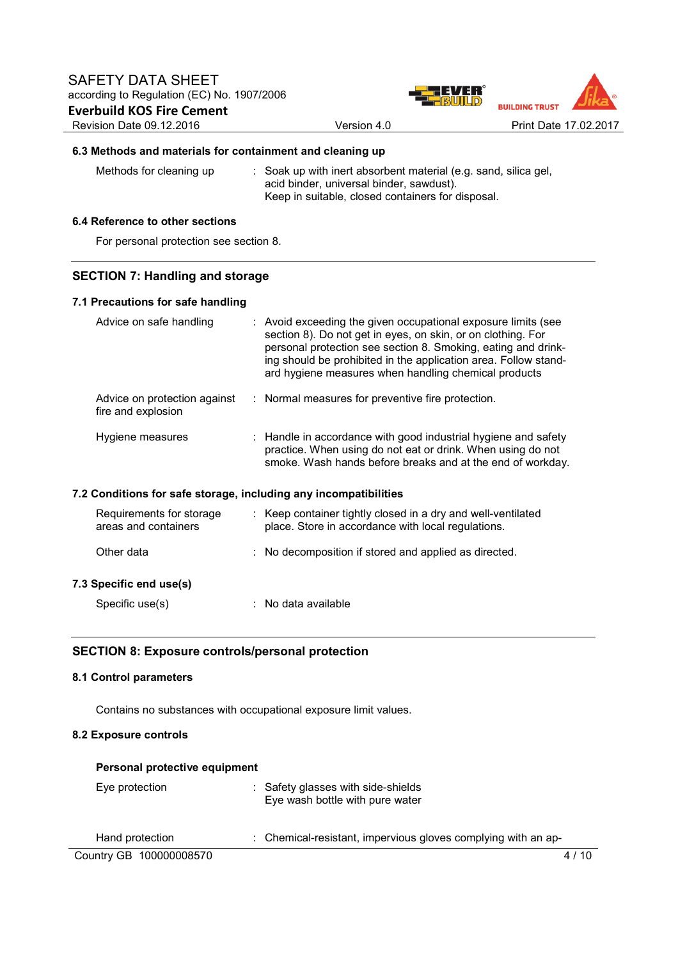

## **6.3 Methods and materials for containment and cleaning up**

Methods for cleaning up : Soak up with inert absorbent material (e.g. sand, silica gel, acid binder, universal binder, sawdust). Keep in suitable, closed containers for disposal.

# **6.4 Reference to other sections**

For personal protection see section 8.

# **SECTION 7: Handling and storage**

## **7.1 Precautions for safe handling**

|                                                                  | Advice on safe handling                            |  | : Avoid exceeding the given occupational exposure limits (see<br>section 8). Do not get in eyes, on skin, or on clothing. For<br>personal protection see section 8. Smoking, eating and drink-<br>ing should be prohibited in the application area. Follow stand-<br>ard hygiene measures when handling chemical products |
|------------------------------------------------------------------|----------------------------------------------------|--|---------------------------------------------------------------------------------------------------------------------------------------------------------------------------------------------------------------------------------------------------------------------------------------------------------------------------|
|                                                                  | Advice on protection against<br>fire and explosion |  | : Normal measures for preventive fire protection.                                                                                                                                                                                                                                                                         |
|                                                                  | Hygiene measures                                   |  | : Handle in accordance with good industrial hygiene and safety<br>practice. When using do not eat or drink. When using do not<br>smoke. Wash hands before breaks and at the end of workday.                                                                                                                               |
| 7.2 Conditions for safe storage, including any incompatibilities |                                                    |  |                                                                                                                                                                                                                                                                                                                           |

| Requirements for storage<br>areas and containers | : Keep container tightly closed in a dry and well-ventilated<br>place. Store in accordance with local regulations. |  |
|--------------------------------------------------|--------------------------------------------------------------------------------------------------------------------|--|
| Other data                                       | : No decomposition if stored and applied as directed.                                                              |  |
| 7.3 Specific end use(s)                          |                                                                                                                    |  |
| Specific use(s)                                  | : No data available                                                                                                |  |

# **SECTION 8: Exposure controls/personal protection**

#### **8.1 Control parameters**

Contains no substances with occupational exposure limit values.

## **8.2 Exposure controls**

| Personal protective equipment |                                                                       |        |
|-------------------------------|-----------------------------------------------------------------------|--------|
| Eye protection                | : Safety glasses with side-shields<br>Eye wash bottle with pure water |        |
| Hand protection               | : Chemical-resistant, impervious gloves complying with an ap-         |        |
| Country GB 100000008570       |                                                                       | 4 / 10 |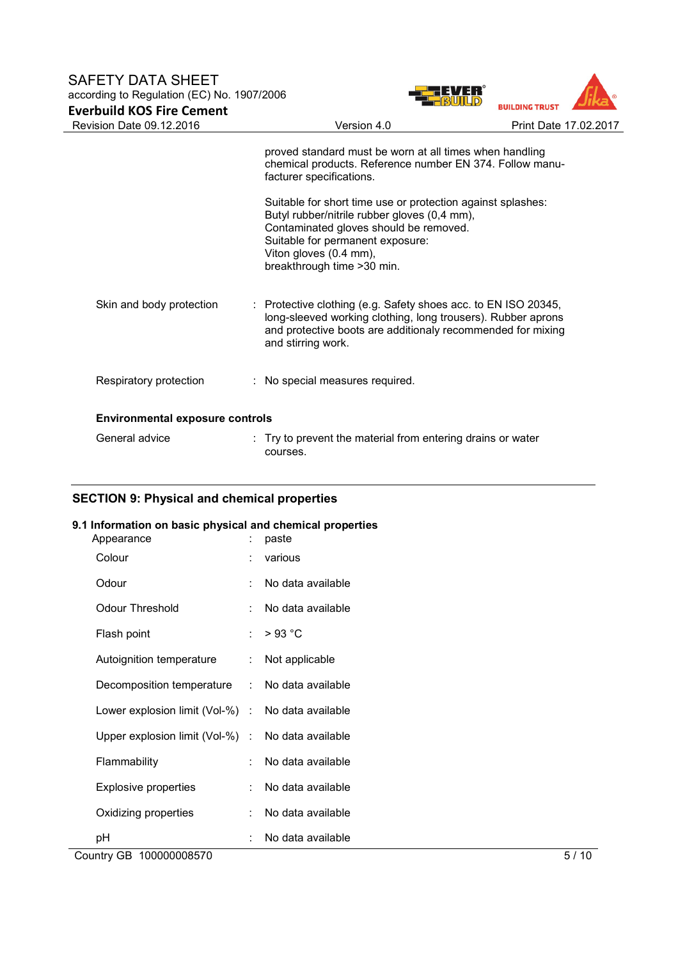# SAFETY DATA SHEET according to Regulation (EC) No. 1907/2006 **Everbuild KOS Fire Cement**



|                                        | proved standard must be worn at all times when handling<br>chemical products. Reference number EN 374. Follow manu-<br>facturer specifications.                                                                                                    |
|----------------------------------------|----------------------------------------------------------------------------------------------------------------------------------------------------------------------------------------------------------------------------------------------------|
|                                        | Suitable for short time use or protection against splashes:<br>Butyl rubber/nitrile rubber gloves (0,4 mm),<br>Contaminated gloves should be removed.<br>Suitable for permanent exposure:<br>Viton gloves (0.4 mm),<br>breakthrough time > 30 min. |
| Skin and body protection               | : Protective clothing (e.g. Safety shoes acc. to EN ISO 20345,<br>long-sleeved working clothing, long trousers). Rubber aprons<br>and protective boots are additionaly recommended for mixing<br>and stirring work.                                |
| Respiratory protection                 | : No special measures required.                                                                                                                                                                                                                    |
| <b>Environmental exposure controls</b> |                                                                                                                                                                                                                                                    |
| General advice                         | $\therefore$ Try to prevent the material from entering drains or water<br>courses.                                                                                                                                                                 |

# **SECTION 9: Physical and chemical properties**

## **9.1 Information on basic physical and chemical properties**

| Country GB 100000008570                           |   |                   | 5/10 |
|---------------------------------------------------|---|-------------------|------|
| pH                                                |   | No data available |      |
| Oxidizing properties                              |   | No data available |      |
| Explosive properties                              | ÷ | No data available |      |
| Flammability                                      |   | No data available |      |
| Upper explosion limit (Vol-%) : No data available |   |                   |      |
| Lower explosion limit (Vol-%) : No data available |   |                   |      |
| Decomposition temperature : No data available     |   |                   |      |
| Autoignition temperature                          |   | Not applicable    |      |
| Flash point                                       | ÷ | $>93$ °C          |      |
| Odour Threshold                                   |   | No data available |      |
| Odour                                             |   | No data available |      |
| Colour                                            |   | various           |      |
| Appearance                                        |   | paste             |      |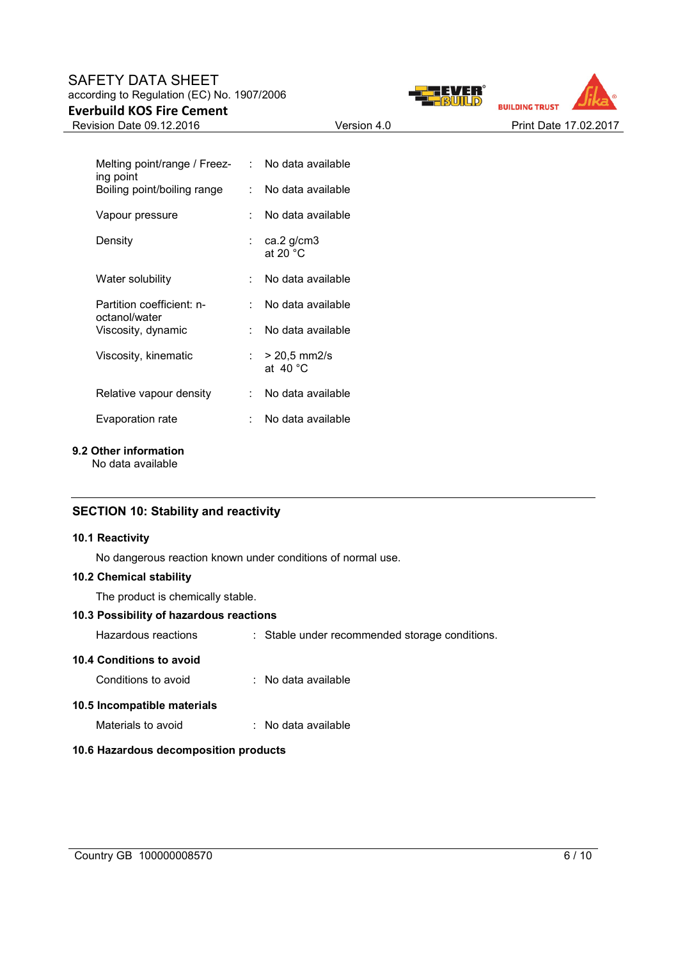# SAFETY DATA SHEET according to Regulation (EC) No. 1907/2006 **Everbuild KOS Fire Cement**





| Melting point/range / Freez-<br>ing point  |    | : No data available                   |
|--------------------------------------------|----|---------------------------------------|
| Boiling point/boiling range                | t. | No data available                     |
| Vapour pressure                            |    | No data available                     |
| Density                                    |    | ∶ ca.2 g/cm3<br>at 20 $°C$            |
| Water solubility                           |    | No data available                     |
| Partition coefficient: n-<br>octanol/water | t. | No data available                     |
| Viscosity, dynamic                         |    | No data available                     |
| Viscosity, kinematic                       |    | : $>$ 20.5 mm2/s<br>at $40^{\circ}$ C |
| Relative vapour density                    | t. | No data available                     |
| Evaporation rate                           |    | No data available                     |

## **9.2 Other information**

No data available

# **SECTION 10: Stability and reactivity**

### **10.1 Reactivity**

No dangerous reaction known under conditions of normal use.

#### **10.2 Chemical stability**

The product is chemically stable.

## **10.3 Possibility of hazardous reactions**

Hazardous reactions : Stable under recommended storage conditions.

## **10.4 Conditions to avoid**

Conditions to avoid : No data available

## **10.5 Incompatible materials**

Materials to avoid : No data available

### **10.6 Hazardous decomposition products**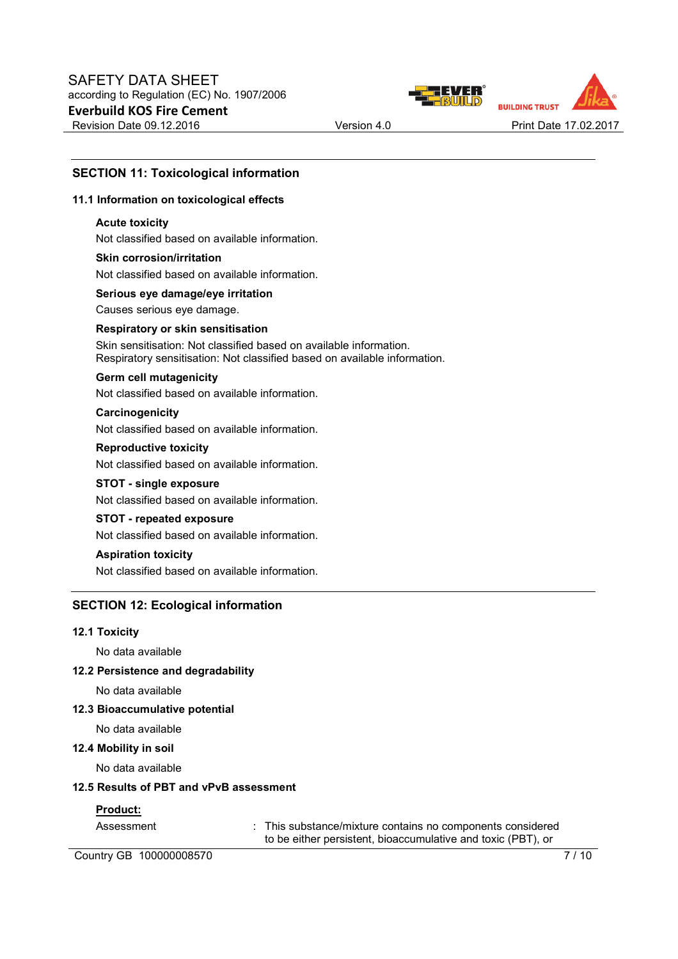



# **SECTION 11: Toxicological information**

### **11.1 Information on toxicological effects**

#### **Acute toxicity**

Not classified based on available information.

# **Skin corrosion/irritation** Not classified based on available information.

**Serious eye damage/eye irritation**

Causes serious eye damage.

## **Respiratory or skin sensitisation**

Skin sensitisation: Not classified based on available information. Respiratory sensitisation: Not classified based on available information.

#### **Germ cell mutagenicity**

Not classified based on available information.

# **Carcinogenicity**

Not classified based on available information.

## **Reproductive toxicity**

Not classified based on available information.

# **STOT - single exposure**

Not classified based on available information.

# **STOT - repeated exposure**

Not classified based on available information.

# **Aspiration toxicity**

Not classified based on available information.

## **SECTION 12: Ecological information**

#### **12.1 Toxicity**

No data available

#### **12.2 Persistence and degradability**

No data available

#### **12.3 Bioaccumulative potential**

No data available

#### **12.4 Mobility in soil**

No data available

#### **12.5 Results of PBT and vPvB assessment**

## **Product:**

Assessment : This substance/mixture contains no components considered to be either persistent, bioaccumulative and toxic (PBT), or

Country GB 100000008570 7/10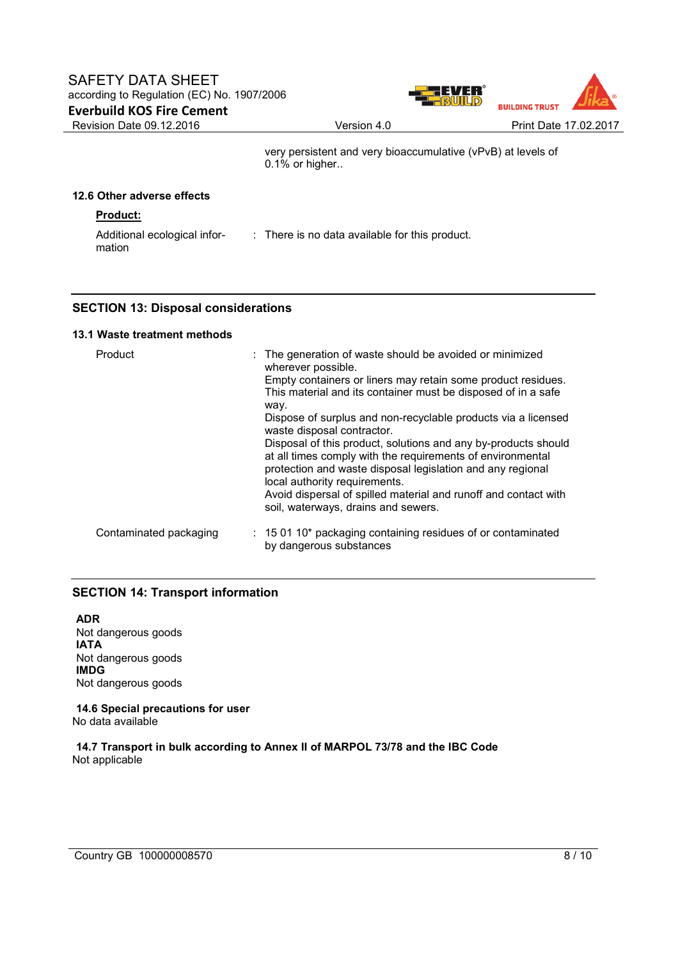

very persistent and very bioaccumulative (vPvB) at levels of 0.1% or higher..

# **12.6 Other adverse effects**

# **Product:**

Additional ecological information : There is no data available for this product.

# **SECTION 13: Disposal considerations**

### **13.1 Waste treatment methods**

| Product                | : The generation of waste should be avoided or minimized<br>wherever possible.                                                                                                                                                                                                                 |
|------------------------|------------------------------------------------------------------------------------------------------------------------------------------------------------------------------------------------------------------------------------------------------------------------------------------------|
|                        | Empty containers or liners may retain some product residues.<br>This material and its container must be disposed of in a safe<br>way.                                                                                                                                                          |
|                        | Dispose of surplus and non-recyclable products via a licensed<br>waste disposal contractor.                                                                                                                                                                                                    |
|                        | Disposal of this product, solutions and any by-products should<br>at all times comply with the requirements of environmental<br>protection and waste disposal legislation and any regional<br>local authority requirements.<br>Avoid dispersal of spilled material and runoff and contact with |
|                        | soil, waterways, drains and sewers.                                                                                                                                                                                                                                                            |
| Contaminated packaging | $: 150110*$ packaging containing residues of or contaminated<br>by dangerous substances                                                                                                                                                                                                        |

# **SECTION 14: Transport information**

**ADR** Not dangerous goods **IATA** Not dangerous goods **IMDG** Not dangerous goods

**14.6 Special precautions for user** No data available

**14.7 Transport in bulk according to Annex II of MARPOL 73/78 and the IBC Code** Not applicable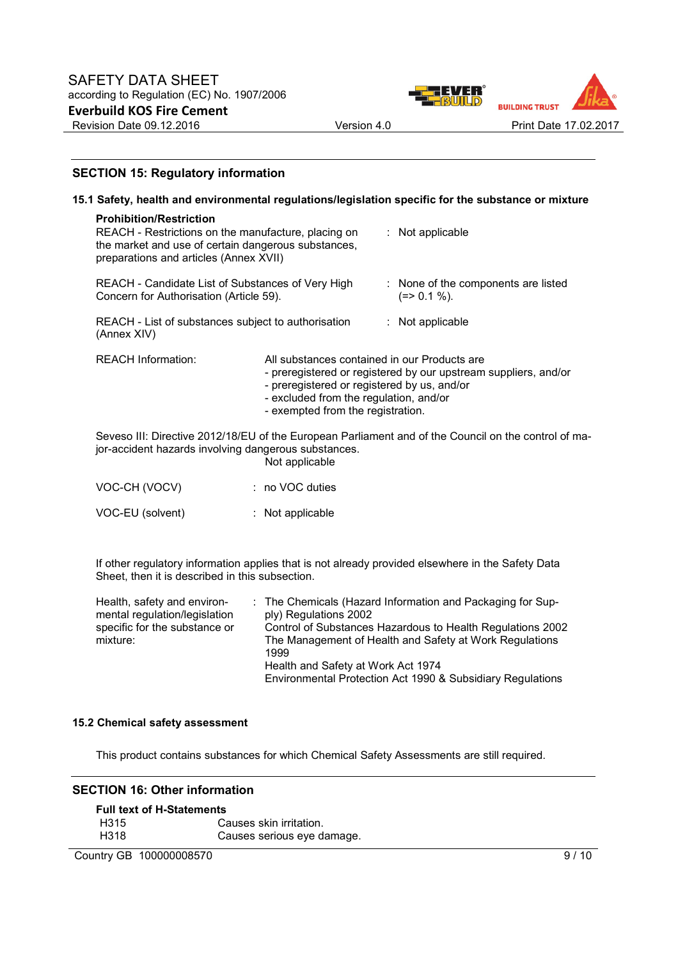

# **SECTION 15: Regulatory information**

|                                                                                                                                                                                        |                                                                                                                                                                            | 15.1 Safety, health and environmental regulations/legislation specific for the substance or mixture  |
|----------------------------------------------------------------------------------------------------------------------------------------------------------------------------------------|----------------------------------------------------------------------------------------------------------------------------------------------------------------------------|------------------------------------------------------------------------------------------------------|
| <b>Prohibition/Restriction</b><br>REACH - Restrictions on the manufacture, placing on<br>the market and use of certain dangerous substances,<br>preparations and articles (Annex XVII) |                                                                                                                                                                            | $:$ Not applicable                                                                                   |
| REACH - Candidate List of Substances of Very High<br>Concern for Authorisation (Article 59).                                                                                           |                                                                                                                                                                            | : None of the components are listed<br>$(=>0.1\%).$                                                  |
| REACH - List of substances subject to authorisation<br>(Annex XIV)                                                                                                                     |                                                                                                                                                                            | $:$ Not applicable                                                                                   |
| <b>REACH Information:</b>                                                                                                                                                              | All substances contained in our Products are<br>- preregistered or registered by us, and/or<br>- excluded from the regulation, and/or<br>- exempted from the registration. | - preregistered or registered by our upstream suppliers, and/or                                      |
| jor-accident hazards involving dangerous substances.                                                                                                                                   | Not applicable                                                                                                                                                             | Seveso III: Directive 2012/18/EU of the European Parliament and of the Council on the control of ma- |
| VOC-CH (VOCV)                                                                                                                                                                          | $: no VOC$ duties                                                                                                                                                          |                                                                                                      |
| VOC-EU (solvent)                                                                                                                                                                       | : Not applicable                                                                                                                                                           |                                                                                                      |

If other regulatory information applies that is not already provided elsewhere in the Safety Data Sheet, then it is described in this subsection.

| Health, safety and environ-   | : The Chemicals (Hazard Information and Packaging for Sup- |
|-------------------------------|------------------------------------------------------------|
| mental regulation/legislation | ply) Regulations 2002                                      |
| specific for the substance or | Control of Substances Hazardous to Health Regulations 2002 |
| mixture:                      | The Management of Health and Safety at Work Regulations    |
|                               | 1999                                                       |
|                               | Health and Safety at Work Act 1974                         |
|                               | Environmental Protection Act 1990 & Subsidiary Regulations |

## **15.2 Chemical safety assessment**

This product contains substances for which Chemical Safety Assessments are still required.

#### **SECTION 16: Other information**

| <b>Full text of H-Statements</b> |                            |  |  |
|----------------------------------|----------------------------|--|--|
| H315                             | Causes skin irritation.    |  |  |
| H318                             | Causes serious eye damage. |  |  |

Country GB 100000008570 9/10